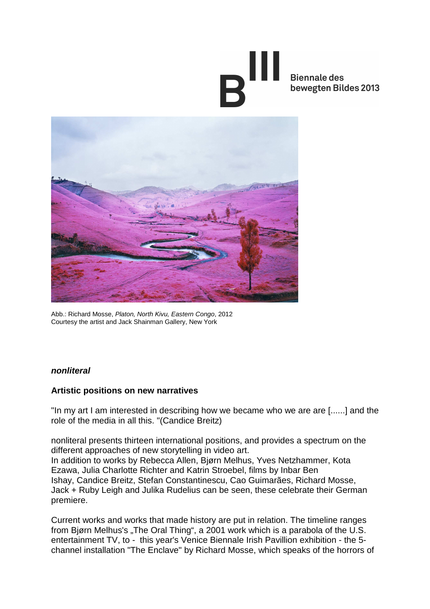# **Biennale des** bewegten Bildes 2013



Abb.: Richard Mosse, Platon, North Kivu, Eastern Congo, 2012 Courtesy the artist and Jack Shainman Gallery, New York

### **nonliteral**

### **Artistic positions on new narratives**

"In my art I am interested in describing how we became who we are are [......] and the role of the media in all this. "(Candice Breitz)

nonliteral presents thirteen international positions, and provides a spectrum on the different approaches of new storytelling in video art. In addition to works by Rebecca Allen, Bjørn Melhus, Yves Netzhammer, Kota Ezawa, Julia Charlotte Richter and Katrin Stroebel, films by Inbar Ben Ishay, Candice Breitz, Stefan Constantinescu, Cao Guimarães, Richard Mosse, Jack + Ruby Leigh and Julika Rudelius can be seen, these celebrate their German premiere.

Current works and works that made history are put in relation. The timeline ranges from Bjørn Melhus's "The Oral Thing", a 2001 work which is a parabola of the U.S. entertainment TV, to - this year's Venice Biennale Irish Pavillion exhibition - the 5 channel installation "The Enclave" by Richard Mosse, which speaks of the horrors of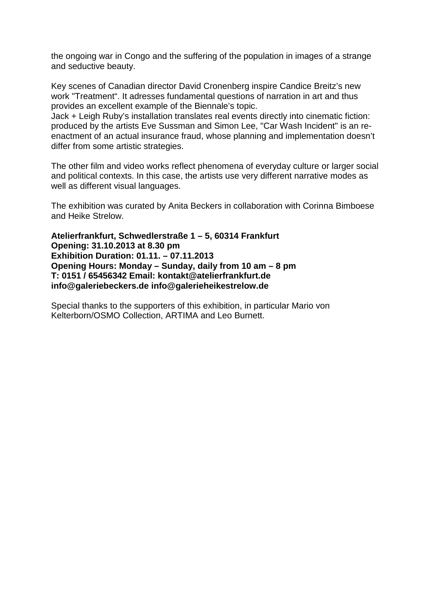the ongoing war in Congo and the suffering of the population in images of a strange and seductive beauty.

Key scenes of Canadian director David Cronenberg inspire Candice Breitz's new work "Treatment". It adresses fundamental questions of narration in art and thus provides an excellent example of the Biennale's topic.

Jack + Leigh Ruby's installation translates real events directly into cinematic fiction: produced by the artists Eve Sussman and Simon Lee, "Car Wash Incident" is an reenactment of an actual insurance fraud, whose planning and implementation doesn't differ from some artistic strategies.

The other film and video works reflect phenomena of everyday culture or larger social and political contexts. In this case, the artists use very different narrative modes as well as different visual languages.

The exhibition was curated by Anita Beckers in collaboration with Corinna Bimboese and Heike Strelow.

**Atelierfrankfurt, Schwedlerstraße 1 – 5, 60314 Frankfurt Opening: 31.10.2013 at 8.30 pm Exhibition Duration: 01.11. – 07.11.2013 Opening Hours: Monday – Sunday, daily from 10 am – 8 pm T: 0151 / 65456342 Email: kontakt@atelierfrankfurt.de info@galeriebeckers.de info@galerieheikestrelow.de** 

Special thanks to the supporters of this exhibition, in particular Mario von Kelterborn/OSMO Collection, ARTIMA and Leo Burnett.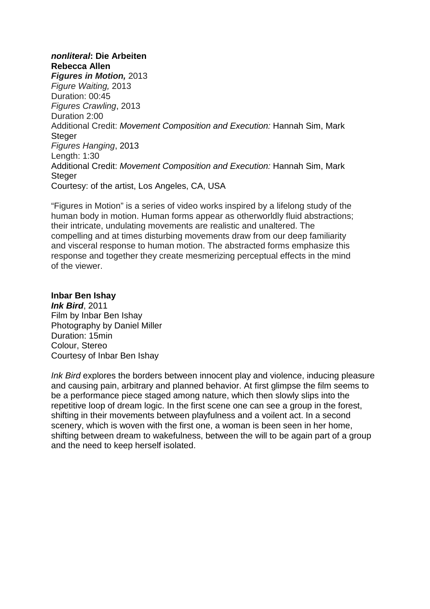# **nonliteral: Die Arbeiten Rebecca Allen**

**Figures in Motion,** 2013 Figure Waiting, 2013 Duration: 00:45 Figures Crawling, 2013 Duration 2:00 Additional Credit: Movement Composition and Execution: Hannah Sim, Mark **Steger** Figures Hanging, 2013 Length: 1:30 Additional Credit: Movement Composition and Execution: Hannah Sim, Mark **Steger** Courtesy: of the artist, Los Angeles, CA, USA

"Figures in Motion" is a series of video works inspired by a lifelong study of the human body in motion. Human forms appear as otherworldly fluid abstractions; their intricate, undulating movements are realistic and unaltered. The compelling and at times disturbing movements draw from our deep familiarity and visceral response to human motion. The abstracted forms emphasize this response and together they create mesmerizing perceptual effects in the mind of the viewer.

### **Inbar Ben Ishay**

**Ink Bird**, 2011 Film by Inbar Ben Ishay Photography by Daniel Miller Duration: 15min Colour, Stereo Courtesy of Inbar Ben Ishay

Ink Bird explores the borders between innocent play and violence, inducing pleasure and causing pain, arbitrary and planned behavior. At first glimpse the film seems to be a performance piece staged among nature, which then slowly slips into the repetitive loop of dream logic. In the first scene one can see a group in the forest, shifting in their movements between playfulness and a voilent act. In a second scenery, which is woven with the first one, a woman is been seen in her home, shifting between dream to wakefulness, between the will to be again part of a group and the need to keep herself isolated.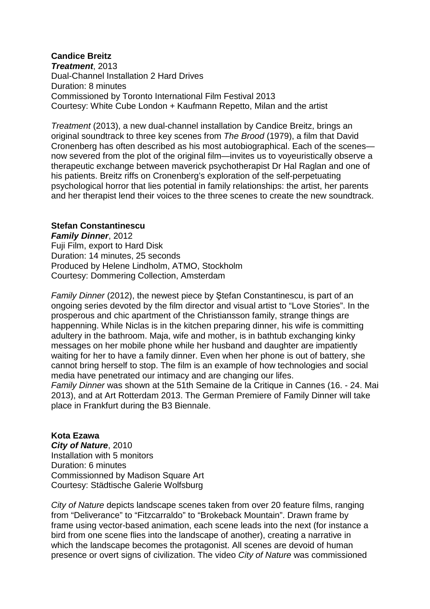## **Candice Breitz**

**Treatment**, 2013 Dual-Channel Installation 2 Hard Drives Duration: 8 minutes Commissioned by Toronto International Film Festival 2013 Courtesy: White Cube London + Kaufmann Repetto, Milan and the artist

Treatment (2013), a new dual-channel installation by Candice Breitz, brings an original soundtrack to three key scenes from The Brood (1979), a film that David Cronenberg has often described as his most autobiographical. Each of the scenes now severed from the plot of the original film—invites us to voyeuristically observe a therapeutic exchange between maverick psychotherapist Dr Hal Raglan and one of his patients. Breitz riffs on Cronenberg's exploration of the self-perpetuating psychological horror that lies potential in family relationships: the artist, her parents and her therapist lend their voices to the three scenes to create the new soundtrack.

### **Stefan Constantinescu**

**Family Dinner**, 2012 Fuji Film, export to Hard Disk Duration: 14 minutes, 25 seconds Produced by Helene Lindholm, ATMO, Stockholm Courtesy: Dommering Collection, Amsterdam

Family Dinner (2012), the newest piece by Ştefan Constantinescu, is part of an ongoing series devoted by the film director and visual artist to "Love Stories". In the prosperous and chic apartment of the Christiansson family, strange things are happenning. While Niclas is in the kitchen preparing dinner, his wife is committing adultery in the bathroom. Maja, wife and mother, is in bathtub exchanging kinky messages on her mobile phone while her husband and daughter are impatiently waiting for her to have a family dinner. Even when her phone is out of battery, she cannot bring herself to stop. The film is an example of how technologies and social media have penetrated our intimacy and are changing our lifes.

Family Dinner was shown at the 51th Semaine de la Critique in Cannes (16. - 24. Mai 2013), and at Art Rotterdam 2013. The German Premiere of Family Dinner will take place in Frankfurt during the B3 Biennale.

#### **Kota Ezawa**

**City of Nature**, 2010 Installation with 5 monitors Duration: 6 minutes Commissionned by Madison Square Art Courtesy: Städtische Galerie Wolfsburg

City of Nature depicts landscape scenes taken from over 20 feature films, ranging from "Deliverance" to "Fitzcarraldo" to "Brokeback Mountain". Drawn frame by frame using vector-based animation, each scene leads into the next (for instance a bird from one scene flies into the landscape of another), creating a narrative in which the landscape becomes the protagonist. All scenes are devoid of human presence or overt signs of civilization. The video City of Nature was commissioned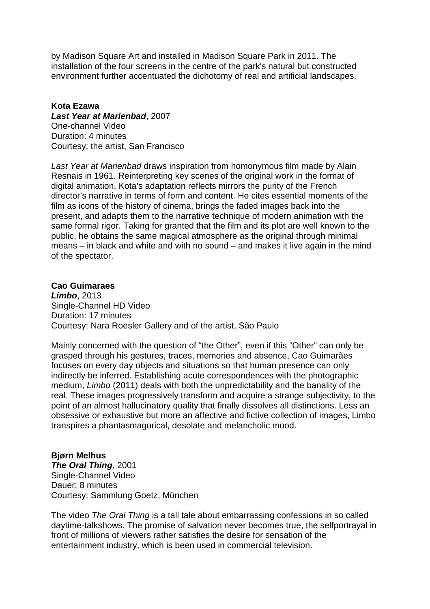by Madison Square Art and installed in Madison Square Park in 2011. The installation of the four screens in the centre of the park's natural but constructed environment further accentuated the dichotomy of real and artificial landscapes.

#### **Kota Ezawa Last Year at Marienbad**, 2007 One-channel Video Duration: 4 minutes Courtesy: the artist, San Francisco

Last Year at Marienbad draws inspiration from homonymous film made by Alain Resnais in 1961. Reinterpreting key scenes of the original work in the format of digital animation, Kota's adaptation reflects mirrors the purity of the French director's narrative in terms of form and content. He cites essential moments of the film as icons of the history of cinema, brings the faded images back into the present, and adapts them to the narrative technique of modern animation with the same formal rigor. Taking for granted that the film and its plot are well known to the public, he obtains the same magical atmosphere as the original through minimal means – in black and white and with no sound – and makes it live again in the mind of the spectator.

#### **Cao Guimaraes Limbo**, 2013 Single-Channel HD Video

Duration: 17 minutes Courtesy: Nara Roesler Gallery and of the artist, São Paulo

Mainly concerned with the question of "the Other", even if this "Other" can only be grasped through his gestures, traces, memories and absence, Cao Guimarães focuses on every day objects and situations so that human presence can only indirectly be inferred. Establishing acute correspondences with the photographic medium, Limbo (2011) deals with both the unpredictability and the banality of the real. These images progressively transform and acquire a strange subjectivity, to the point of an almost hallucinatory quality that finally dissolves all distinctions. Less an obsessive or exhaustive but more an affective and fictive collection of images, Limbo transpires a phantasmagorical, desolate and melancholic mood.

# **Bjørn Melhus**

**The Oral Thing**, 2001 Single-Channel Video Dauer: 8 minutes Courtesy: Sammlung Goetz, München

The video The Oral Thing is a tall tale about embarrassing confessions in so called daytime-talkshows. The promise of salvation never becomes true, the selfportrayal in front of millions of viewers rather satisfies the desire for sensation of the entertainment industry, which is been used in commercial television.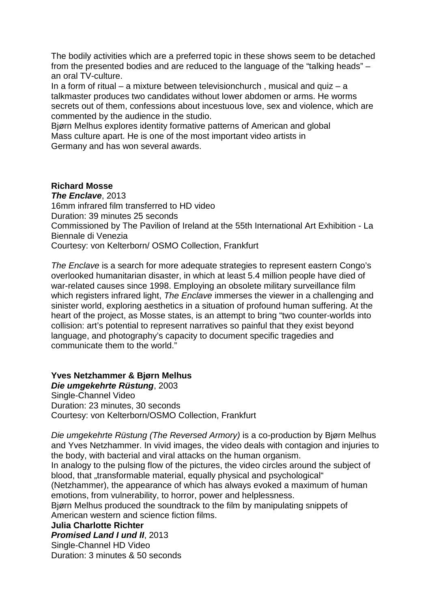The bodily activities which are a preferred topic in these shows seem to be detached from the presented bodies and are reduced to the language of the "talking heads" – an oral TV-culture.

In a form of ritual – a mixture between televisionchurch, musical and quiz – a talkmaster produces two candidates without lower abdomen or arms. He worms secrets out of them, confessions about incestuous love, sex and violence, which are commented by the audience in the studio.

Bjørn Melhus explores identity formative patterns of American and global Mass culture apart. He is one of the most important video artists in Germany and has won several awards.

### **Richard Mosse**

**The Enclave**, 2013 16mm infrared film transferred to HD video Duration: 39 minutes 25 seconds Commissioned by The Pavilion of Ireland at the 55th International Art Exhibition - La Biennale di Venezia Courtesy: von Kelterborn/ OSMO Collection, Frankfurt

The Enclave is a search for more adequate strategies to represent eastern Congo's overlooked humanitarian disaster, in which at least 5.4 million people have died of war-related causes since 1998. Employing an obsolete military surveillance film which registers infrared light, The Enclave immerses the viewer in a challenging and sinister world, exploring aesthetics in a situation of profound human suffering. At the heart of the project, as Mosse states, is an attempt to bring "two counter-worlds into collision: art's potential to represent narratives so painful that they exist beyond language, and photography's capacity to document specific tragedies and communicate them to the world."

**Yves Netzhammer & Bjørn Melhus** 

**Die umgekehrte Rüstung**, 2003 Single-Channel Video Duration: 23 minutes, 30 seconds Courtesy: von Kelterborn/OSMO Collection, Frankfurt

Die umgekehrte Rüstung (The Reversed Armory) is a co-production by Bjørn Melhus and Yves Netzhammer. In vivid images, the video deals with contagion and injuries to the body, with bacterial and viral attacks on the human organism.

In analogy to the pulsing flow of the pictures, the video circles around the subject of blood, that "transformable material, equally physical and psychological"

(Netzhammer), the appearance of which has always evoked a maximum of human emotions, from vulnerability, to horror, power and helplessness.

Bjørn Melhus produced the soundtrack to the film by manipulating snippets of American western and science fiction films.

#### **Julia Charlotte Richter**

**Promised Land I und II**, 2013

Single-Channel HD Video Duration: 3 minutes & 50 seconds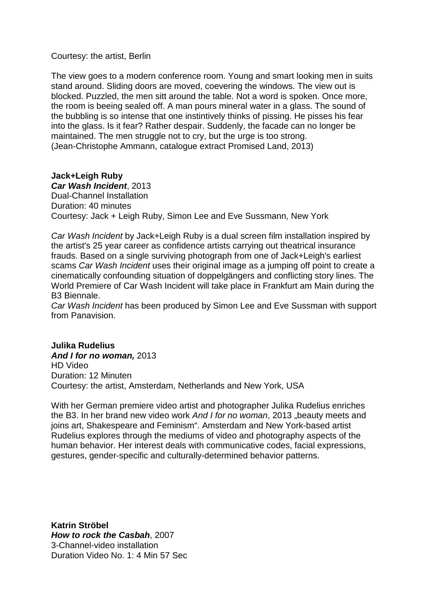#### Courtesy: the artist, Berlin

The view goes to a modern conference room. Young and smart looking men in suits stand around. Sliding doors are moved, coevering the windows. The view out is blocked. Puzzled, the men sitt around the table. Not a word is spoken. Once more, the room is beeing sealed off. A man pours mineral water in a glass. The sound of the bubbling is so intense that one instintively thinks of pissing. He pisses his fear into the glass. Is it fear? Rather despair. Suddenly, the facade can no longer be maintained. The men struggle not to cry, but the urge is too strong. (Jean-Christophe Ammann, catalogue extract Promised Land, 2013)

## **Jack+Leigh Ruby**

**Car Wash Incident**, 2013 Dual-Channel Installation Duration: 40 minutes Courtesy: Jack + Leigh Ruby, Simon Lee and Eve Sussmann, New York

Car Wash Incident by Jack+Leigh Ruby is a dual screen film installation inspired by the artist's 25 year career as confidence artists carrying out theatrical insurance frauds. Based on a single surviving photograph from one of Jack+Leigh's earliest scams Car Wash Incident uses their original image as a jumping off point to create a cinematically confounding situation of doppelgängers and conflicting story lines. The World Premiere of Car Wash Incident will take place in Frankfurt am Main during the B3 Biennale.

Car Wash Incident has been produced by Simon Lee and Eve Sussman with support from Panavision.

#### **Julika Rudelius And I for no woman,** 2013 HD Video Duration: 12 Minuten Courtesy: the artist, Amsterdam, Netherlands and New York, USA

With her German premiere video artist and photographer Julika Rudelius enriches the B3. In her brand new video work And I for no woman, 2013 "beauty meets and joins art, Shakespeare and Feminism". Amsterdam and New York-based artist Rudelius explores through the mediums of video and photography aspects of the human behavior. Her interest deals with communicative codes, facial expressions, gestures, gender-specific and culturally-determined behavior patterns.

**Katrin Ströbel How to rock the Casbah**, 2007 3-Channel-video installation Duration Video No. 1: 4 Min 57 Sec